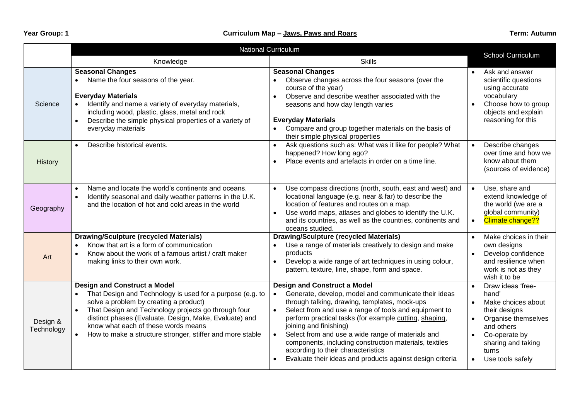|                        | <b>National Curriculum</b>                                                                                                                                                                                                                                                                                                                                                                |                                                                                                                                                                                                                                                                                                                                                                                                                                                                                                                          |                                     |                                                                                                                                                                            |  |
|------------------------|-------------------------------------------------------------------------------------------------------------------------------------------------------------------------------------------------------------------------------------------------------------------------------------------------------------------------------------------------------------------------------------------|--------------------------------------------------------------------------------------------------------------------------------------------------------------------------------------------------------------------------------------------------------------------------------------------------------------------------------------------------------------------------------------------------------------------------------------------------------------------------------------------------------------------------|-------------------------------------|----------------------------------------------------------------------------------------------------------------------------------------------------------------------------|--|
|                        | Knowledge                                                                                                                                                                                                                                                                                                                                                                                 | <b>Skills</b>                                                                                                                                                                                                                                                                                                                                                                                                                                                                                                            |                                     | <b>School Curriculum</b>                                                                                                                                                   |  |
| Science                | <b>Seasonal Changes</b><br>Name the four seasons of the year.<br>$\bullet$<br><b>Everyday Materials</b><br>Identify and name a variety of everyday materials,<br>including wood, plastic, glass, metal and rock<br>Describe the simple physical properties of a variety of<br>$\bullet$<br>everyday materials                                                                             | <b>Seasonal Changes</b><br>Observe changes across the four seasons (over the<br>$\bullet$<br>course of the year)<br>Observe and describe weather associated with the<br>$\bullet$<br>seasons and how day length varies<br><b>Everyday Materials</b><br>Compare and group together materials on the basis of<br>$\bullet$<br>their simple physical properties                                                                                                                                                             | $\bullet$                           | Ask and answer<br>scientific questions<br>using accurate<br>vocabulary<br>Choose how to group<br>objects and explain<br>reasoning for this                                 |  |
| History                | Describe historical events.<br>$\bullet$                                                                                                                                                                                                                                                                                                                                                  | Ask questions such as: What was it like for people? What<br>happened? How long ago?<br>Place events and artefacts in order on a time line.<br>$\bullet$                                                                                                                                                                                                                                                                                                                                                                  | $\bullet$                           | Describe changes<br>over time and how we<br>know about them<br>(sources of evidence)                                                                                       |  |
| Geography              | Name and locate the world's continents and oceans.<br>$\bullet$<br>Identify seasonal and daily weather patterns in the U.K.<br>$\bullet$<br>and the location of hot and cold areas in the world                                                                                                                                                                                           | Use compass directions (north, south, east and west) and<br>locational language (e.g. near & far) to describe the<br>location of features and routes on a map.<br>Use world maps, atlases and globes to identify the U.K.<br>and its countries, as well as the countries, continents and<br>oceans studied.                                                                                                                                                                                                              | $\bullet$<br>$\bullet$              | Use, share and<br>extend knowledge of<br>the world (we are a<br>global community)<br>Climate change??                                                                      |  |
| Art                    | <b>Drawing/Sculpture (recycled Materials)</b><br>Know that art is a form of communication<br>$\bullet$<br>Know about the work of a famous artist / craft maker<br>$\bullet$<br>making links to their own work.                                                                                                                                                                            | <b>Drawing/Sculpture (recycled Materials)</b><br>Use a range of materials creatively to design and make<br>$\bullet$<br>products<br>Develop a wide range of art techniques in using colour,<br>$\bullet$<br>pattern, texture, line, shape, form and space.                                                                                                                                                                                                                                                               | $\bullet$                           | Make choices in their<br>own designs<br>Develop confidence<br>and resilience when<br>work is not as they<br>wish it to be                                                  |  |
| Design &<br>Technology | <b>Design and Construct a Model</b><br>That Design and Technology is used for a purpose (e.g. to<br>$\bullet$<br>solve a problem by creating a product)<br>That Design and Technology projects go through four<br>$\bullet$<br>distinct phases (Evaluate, Design, Make, Evaluate) and<br>know what each of these words means<br>How to make a structure stronger, stiffer and more stable | <b>Design and Construct a Model</b><br>Generate, develop, model and communicate their ideas<br>$\bullet$<br>through talking, drawing, templates, mock-ups<br>Select from and use a range of tools and equipment to<br>perform practical tasks (for example cutting, shaping,<br>joining and finishing)<br>Select from and use a wide range of materials and<br>components, including construction materials, textiles<br>according to their characteristics<br>Evaluate their ideas and products against design criteria | $\bullet$<br>$\bullet$<br>$\bullet$ | Draw ideas 'free-<br>hand'<br>Make choices about<br>their designs<br>Organise themselves<br>and others<br>Co-operate by<br>sharing and taking<br>turns<br>Use tools safely |  |